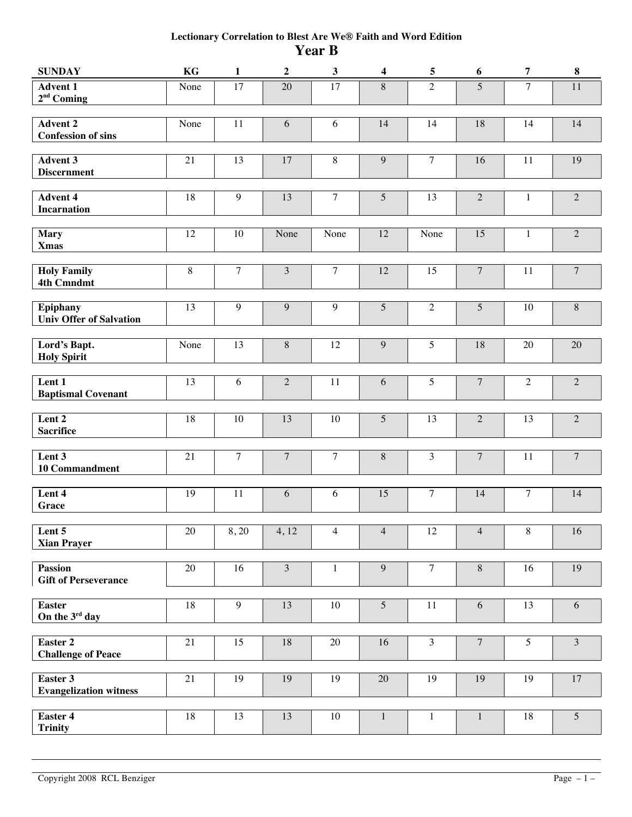## **Lectionary Correlation to Blest Are We® Faith and Word Edition Year B**

| <b>SUNDAY</b>                                     | KG              | $\mathbf{1}$   | $\boldsymbol{2}$ | $\mathbf{3}$   | 4              | $\overline{\mathbf{5}}$ | 6                | $\overline{7}$ | 8              |
|---------------------------------------------------|-----------------|----------------|------------------|----------------|----------------|-------------------------|------------------|----------------|----------------|
| <b>Advent 1</b><br>$2nd$ Coming                   | None            | 17             | 20               | 17             | $\,8\,$        | $\overline{2}$          | 5                | $\overline{7}$ | 11             |
| <b>Advent 2</b><br><b>Confession of sins</b>      | None            | 11             | 6                | 6              | 14             | 14                      | 18               | 14             | 14             |
| <b>Advent 3</b><br><b>Discernment</b>             | 21              | 13             | $17\,$           | $\,8\,$        | $\overline{9}$ | $\tau$                  | 16               | 11             | 19             |
| <b>Advent 4</b><br><b>Incarnation</b>             | 18              | 9              | 13               | $\overline{7}$ | 5              | 13                      | $\overline{2}$   | $\mathbf{1}$   | $\overline{2}$ |
| <b>Mary</b><br><b>X</b> mas                       | 12              | 10             | None             | None           | 12             | None                    | 15               | 1              | $\overline{2}$ |
| <b>Holy Family</b><br><b>4th Cmndmt</b>           | 8               | $\overline{7}$ | $\mathfrak{Z}$   | $\overline{7}$ | 12             | 15                      | $\boldsymbol{7}$ | 11             | $\overline{7}$ |
| <b>Epiphany</b><br><b>Univ Offer of Salvation</b> | 13              | 9              | 9                | 9              | 5              | $\sqrt{2}$              | 5                | 10             | $\, 8$         |
| Lord's Bapt.<br><b>Holy Spirit</b>                | None            | 13             | $\, 8$           | 12             | $\overline{9}$ | 5                       | 18               | 20             | 20             |
| Lent 1<br><b>Baptismal Covenant</b>               | 13              | 6              | $\overline{2}$   | 11             | $6\,$          | 5                       | $\boldsymbol{7}$ | $\overline{2}$ | $\overline{2}$ |
| Lent 2<br><b>Sacrifice</b>                        | 18              | 10             | 13               | 10             | 5              | 13                      | $\overline{2}$   | 13             | $\overline{2}$ |
| Lent 3<br><b>10 Commandment</b>                   | 21              | $\overline{7}$ | $\overline{7}$   | $\overline{7}$ | $8\,$          | 3                       | $\overline{7}$   | 11             | $\overline{7}$ |
| Lent 4<br><b>Grace</b>                            | 19              | 11             | $6\,$            | 6              | 15             | $\overline{7}$          | 14               | $\overline{7}$ | 14             |
| Lent 5<br><b>Xian Prayer</b>                      | 20              | 8,20           | 4,12             | $\overline{4}$ | $\overline{4}$ | 12                      | $\overline{4}$   | 8              | 16             |
| <b>Passion</b><br><b>Gift of Perseverance</b>     | 20              | 16             | $\overline{3}$   | $\mathbf{1}$   | $\overline{9}$ | $\overline{7}$          | $\overline{8}$   | 16             | 19             |
| <b>Easter</b><br>On the $3^{\rm rd}$ day          | $\overline{18}$ | $\overline{9}$ | 13               | 10             | $\overline{5}$ | 11                      | 6                | 13             | 6              |
| Easter 2<br><b>Challenge of Peace</b>             | 21              | 15             | 18               | 20             | 16             | $\overline{3}$          | $\overline{7}$   | $\overline{5}$ | $\overline{3}$ |
| Easter 3<br><b>Evangelization witness</b>         | 21              | 19             | 19               | 19             | 20             | 19                      | 19               | 19             | 17             |
| <b>Easter 4</b><br><b>Trinity</b>                 | 18              | 13             | 13               | 10             | $\mathbf{1}$   | 1                       | 1                | 18             | 5              |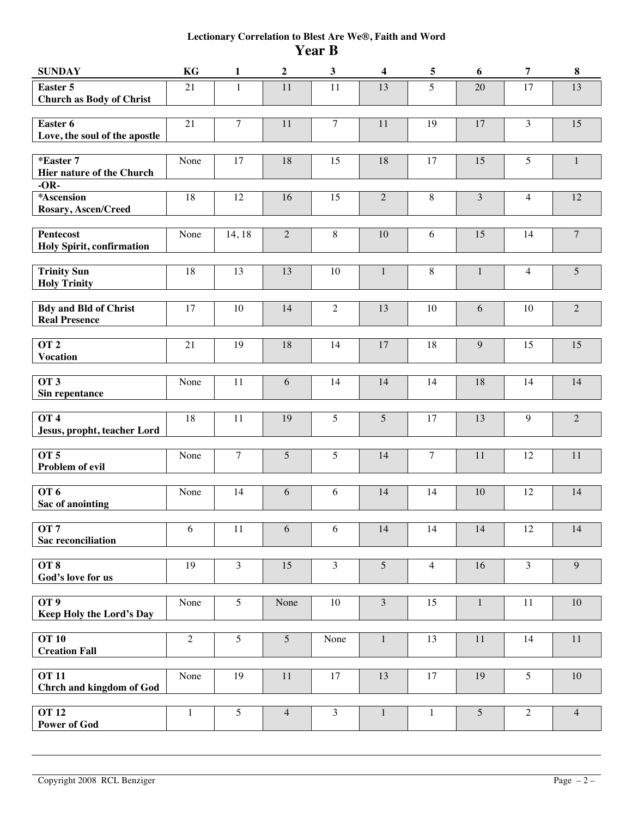## **Lectionary Correlation to Blest Are We®, Faith and Word Year B**

| <b>SUNDAY</b>                                         | KG             | 1              | $\boldsymbol{2}$ | $\mathbf{3}$     | 4               | 5              | 6            | 7              | $\bf{8}$       |
|-------------------------------------------------------|----------------|----------------|------------------|------------------|-----------------|----------------|--------------|----------------|----------------|
| Easter 5<br><b>Church as Body of Christ</b>           | 21             | 1              | 11               | 11               | 13              | 5              | 20           | 17             | 13             |
| Easter 6<br>Love, the soul of the apostle             | 21             | $\overline{7}$ | 11               | $\overline{7}$   | 11              | 19             | 17           | 3              | 15             |
| *Easter 7<br>Hier nature of the Church<br>$-OR-$      | None           | 17             | 18               | 15               | 18              | 17             | 15           | 5              | $\mathbf{1}$   |
| *Ascension<br>Rosary, Ascen/Creed                     | 18             | 12             | 16               | 15               | $\overline{2}$  | $\,8\,$        | 3            | $\overline{4}$ | 12             |
| <b>Pentecost</b><br><b>Holy Spirit, confirmation</b>  | None           | 14, 18         | $\overline{2}$   | $8\,$            | 10              | 6              | 15           | 14             | $\overline{7}$ |
| <b>Trinity Sun</b><br><b>Holy Trinity</b>             | 18             | 13             | 13               | 10               | $\mathbf{1}$    | $\,8\,$        | $\mathbf{1}$ | $\overline{4}$ | 5              |
| <b>Bdy and Bld of Christ</b><br><b>Real Presence</b>  | 17             | 10             | 14               | $\overline{2}$   | 13              | 10             | 6            | 10             | $\overline{2}$ |
| OT <sub>2</sub><br><b>Vocation</b>                    | 21             | 19             | 18               | 14               | 17              | 18             | 9            | 15             | 15             |
| OT <sub>3</sub><br>Sin repentance                     | None           | 11             | 6                | 14               | 14              | 14             | 18           | 14             | 14             |
| $\overline{OT4}$<br>Jesus, propht, teacher Lord       | 18             | 11             | 19               | 5                | 5               | 17             | 13           | 9              | $\overline{2}$ |
| OT <sub>5</sub><br>Problem of evil                    | None           | $\overline{7}$ | 5                | 5                | 14              | $\overline{7}$ | 11           | 12             | $11\,$         |
| <b>OT 6</b><br>Sac of anointing                       | None           | 14             | 6                | $6\,$            | 14              | 14             | 10           | 12             | 14             |
| $\overline{\text{OT }7}$<br><b>Sac reconciliation</b> | 6              | 11             | 6                | $\boldsymbol{6}$ | 14              | 14             | 14           | 12             | 14             |
| OT <sub>8</sub><br>God's love for us                  | 19             | 3              | 15               | $\overline{3}$   | $5\overline{)}$ | $\overline{4}$ | 16           | $\overline{3}$ | $\overline{9}$ |
| OT <sub>9</sub><br>Keep Holy the Lord's Day           | None           | 5              | None             | $10\,$           | $\overline{3}$  | 15             | $\mathbf{1}$ | 11             | $10\,$         |
| <b>OT 10</b><br><b>Creation Fall</b>                  | $\overline{2}$ | 5              | 5                | None             | $\mathbf{1}$    | 13             | 11           | 14             | $11\,$         |
| <b>OT 11</b><br><b>Chrch and kingdom of God</b>       | None           | 19             | 11               | 17               | 13              | 17             | 19           | 5              | 10             |
| <b>OT 12</b><br><b>Power of God</b>                   | $\mathbf{1}$   | 5              | $\overline{4}$   | $\overline{3}$   | $\mathbf{1}$    | $\mathbf{1}$   | 5            | $\overline{c}$ | $\overline{4}$ |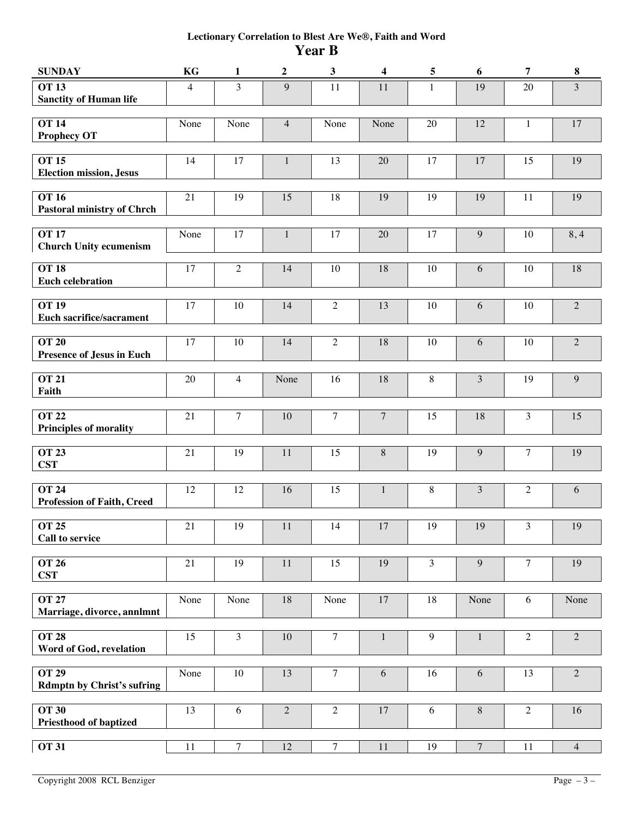## **Lectionary Correlation to Blest Are We®, Faith and Word Year B**

| <b>SUNDAY</b>                                     | KG              | $\mathbf{1}$     | $\boldsymbol{2}$ | $\mathbf{3}$     | 4              | 5              | 6                | 7               | $\bf8$         |
|---------------------------------------------------|-----------------|------------------|------------------|------------------|----------------|----------------|------------------|-----------------|----------------|
| <b>OT 13</b><br><b>Sanctity of Human life</b>     | 4               | 3                | 9                | 11               | 11             | 1              | 19               | 20              | $\overline{3}$ |
| <b>OT 14</b><br><b>Prophecy OT</b>                | None            | None             | $\overline{4}$   | None             | None           | 20             | $12\,$           | $\mathbf{1}$    | 17             |
| <b>OT 15</b><br><b>Election mission, Jesus</b>    | 14              | 17               | $\mathbf{1}$     | 13               | 20             | 17             | 17               | 15              | 19             |
| <b>OT 16</b><br><b>Pastoral ministry of Chrch</b> | 21              | 19               | 15               | 18               | 19             | 19             | 19               | 11              | 19             |
| <b>OT 17</b><br><b>Church Unity ecumenism</b>     | None            | 17               | $\mathbf{1}$     | 17               | 20             | 17             | 9                | 10              | 8,4            |
| <b>OT 18</b><br><b>Euch celebration</b>           | 17              | $\overline{2}$   | 14               | $10\,$           | 18             | 10             | 6                | 10              | 18             |
| <b>OT 19</b><br><b>Euch sacrifice/sacrament</b>   | 17              | 10               | 14               | $\overline{2}$   | 13             | 10             | 6                | 10              | $2\,$          |
| <b>OT 20</b><br><b>Presence of Jesus in Euch</b>  | 17              | 10               | 14               | $\overline{2}$   | 18             | 10             | 6                | 10              | $2\,$          |
| <b>OT 21</b><br>Faith                             | 20              | $\overline{4}$   | None             | 16               | $18\,$         | $\,8\,$        | $\mathfrak{Z}$   | 19              | 9              |
| <b>OT 22</b><br><b>Principles of morality</b>     | 21              | $\overline{7}$   | 10               | $\overline{7}$   | $\overline{7}$ | 15             | 18               | $\overline{3}$  | 15             |
| <b>OT 23</b><br><b>CST</b>                        | 21              | 19               | 11               | 15               | $\,8\,$        | 19             | 9                | $\overline{7}$  | 19             |
| <b>OT 24</b><br><b>Profession of Faith, Creed</b> | 12              | 12               | 16               | 15               | $\mathbf{1}$   | $\,8\,$        | $\mathfrak{Z}$   | $\sqrt{2}$      | $\sqrt{6}$     |
| OT 25<br><b>Call to service</b>                   | $\overline{21}$ | 19               | $11\,$           | 14               | $17\,$         | 19             | 19               | $\mathfrak{Z}$  | $19\,$         |
| <b>OT 26</b><br><b>CST</b>                        | $21\,$          | 19               | 11               | 15               | 19             | $\overline{3}$ | 9                | $\overline{7}$  | 19             |
| <b>OT 27</b><br>Marriage, divorce, annlmnt        | None            | None             | 18               | None             | 17             | 18             | None             | 6               | None           |
| <b>OT 28</b><br>Word of God, revelation           | $\overline{15}$ | $\overline{3}$   | 10               | $\overline{7}$   | $\mathbf{1}$   | $\overline{9}$ | $\mathbf{1}$     | $\overline{2}$  | $\overline{2}$ |
| <b>OT 29</b><br><b>Rdmptn by Christ's sufring</b> | None            | $\overline{10}$  | 13               | $\overline{7}$   | $6\,$          | 16             | 6                | $\overline{13}$ | $\overline{2}$ |
| <b>OT 30</b><br><b>Priesthood of baptized</b>     | 13              | 6                | $\overline{2}$   | $\overline{2}$   | 17             | 6              | $\,8\,$          | $\overline{2}$  | 16             |
| <b>OT 31</b>                                      | $11\,$          | $\boldsymbol{7}$ | 12               | $\boldsymbol{7}$ | $11\,$         | 19             | $\boldsymbol{7}$ | 11              | $\overline{4}$ |